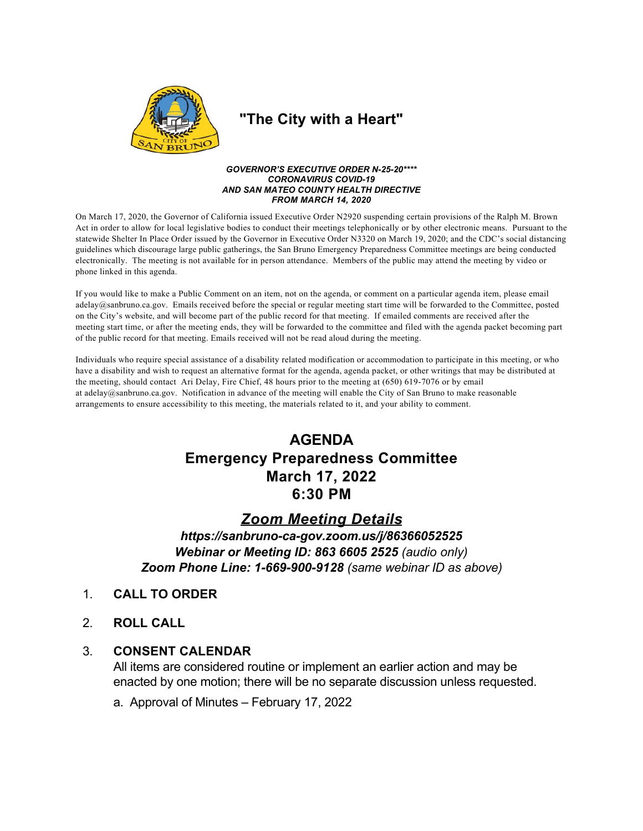

## "The City with a Heart"

### **GOVERNOR'S EXECUTIVE ORDER N-25-20\*\*\*\* CORONAVIRUS COVID-19** AND SAN MATEO COUNTY HEALTH DIRECTIVE **FROM MARCH 14, 2020**

On March 17, 2020, the Governor of California issued Executive Order N2920 suspending certain provisions of the Ralph M. Brown Act in order to allow for local legislative bodies to conduct their meetings telephonically or by other electronic means. Pursuant to the statewide Shelter In Place Order issued by the Governor in Executive Order N3320 on March 19, 2020; and the CDC's social distancing guidelines which discourage large public gatherings, the San Bruno Emergency Preparedness Committee meetings are being conducted electronically. The meeting is not available for in person attendance. Members of the public may attend the meeting by video or phone linked in this agenda.

If you would like to make a Public Comment on an item, not on the agenda, or comment on a particular agenda item, please email  $adelay@sanbruno.ca.gov$ . Emails received before the special or regular meeting start time will be forwarded to the Committee, posted on the City's website, and will become part of the public record for that meeting. If emailed comments are received after the meeting start time, or after the meeting ends, they will be forwarded to the committee and filed with the agenda packet becoming part of the public record for that meeting. Emails received will not be read aloud during the meeting.

Individuals who require special assistance of a disability related modification or accommodation to participate in this meeting, or who have a disability and wish to request an alternative format for the agenda, agenda packet, or other writings that may be distributed at the meeting, should contact Ari Delay, Fire Chief, 48 hours prior to the meeting at (650) 619-7076 or by email at adelay@sanbruno.ca.gov. Notification in advance of the meeting will enable the City of San Bruno to make reasonable arrangements to ensure accessibility to this meeting, the materials related to it, and your ability to comment.

# **AGENDA Emergency Preparedness Committee** March 17, 2022 6:30 PM

### **Zoom Meeting Details**

https://sanbruno-ca-gov.zoom.us/j/86366052525 Webinar or Meeting ID: 863 6605 2525 (audio only) Zoom Phone Line: 1-669-900-9128 (same webinar ID as above)

- $1<sub>1</sub>$ **CALL TO ORDER**
- $2<sub>1</sub>$ **ROLL CALL**

#### **CONSENT CALENDAR**  $3_{-}$

All items are considered routine or implement an earlier action and may be enacted by one motion; there will be no separate discussion unless requested.

a. Approval of Minutes - February 17, 2022